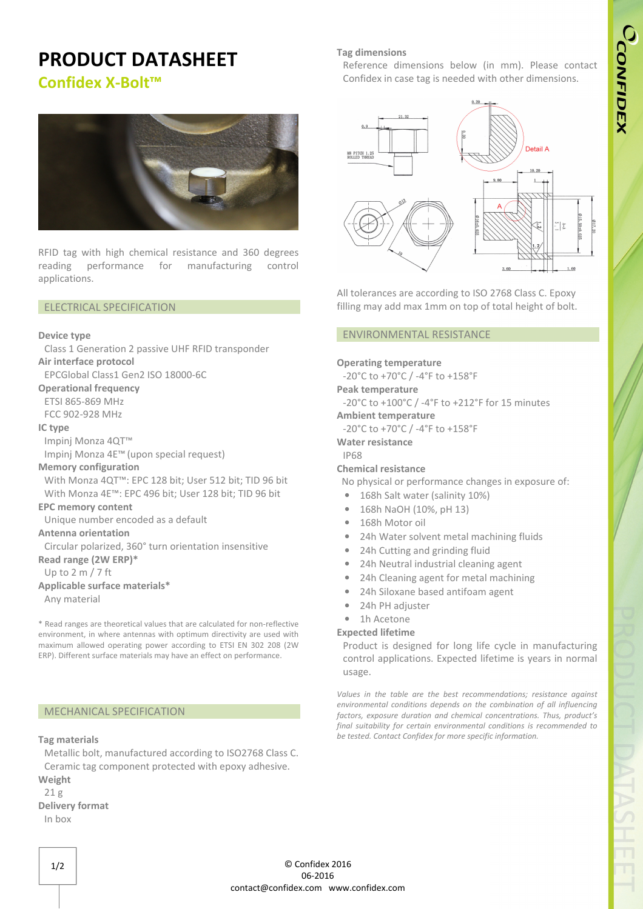# **PRODUCT DATASHEET**

**Confidex X-Bolt™** 



RFID tag with high chemical resistance and 360 degrees reading performance for manufacturing control applications.

## ELECTRICAL SPECIFICATION

#### **Device type**

Class 1 Generation 2 passive UHF RFID transponder **Air interface protocol** 

EPCGlobal Class1 Gen2 ISO 18000-6C

### **Operational frequency**

ETSI 865-869 MHz FCC 902-928 MHz

## **IC type**

Impinj Monza 4QT™

Impinj Monza 4E™ (upon special request)

#### **Memory configuration**

With Monza 4QT™: EPC 128 bit; User 512 bit; TID 96 bit With Monza 4E™: EPC 496 bit; User 128 bit; TID 96 bit

## **EPC memory content**

Unique number encoded as a default

#### **Antenna orientation**

Circular polarized, 360° turn orientation insensitive **Read range (2W ERP)\***

Up to 2 m / 7 ft

## **Applicable surface materials\***

Any material

\* Read ranges are theoretical values that are calculated for non-reflective environment, in where antennas with optimum directivity are used with maximum allowed operating power according to ETSI EN 302 208 (2W ERP). Different surface materials may have an effect on performance.

#### MECHANICAL SPECIFICATION

#### **Tag materials**

Metallic bolt, manufactured according to ISO2768 Class C. Ceramic tag component protected with epoxy adhesive. **Weight**

#### 21 g **Delivery format**

In box

#### **Tag dimensions**

Reference dimensions below (in mm). Please contact Confidex in case tag is needed with other dimensions.



All tolerances are according to ISO 2768 Class C. Epoxy filling may add max 1mm on top of total height of bolt.

#### ENVIRONMENTAL RESISTANCE

#### **Operating temperature**

-20°C to +70°C / -4°F to +158°F

**Peak temperature** 

-20°C to +100°C / -4°F to +212°F for 15 minutes

#### **Ambient temperature**

-20°C to +70°C / -4°F to +158°F

**Water resistance** 

## IP68

## **Chemical resistance**

No physical or performance changes in exposure of:

- 168h Salt water (salinity 10%)
- 168h NaOH (10%, pH 13)
- 168h Motor oil
- 24h Water solvent metal machining fluids
- 24h Cutting and grinding fluid
- 24h Neutral industrial cleaning agent
- 24h Cleaning agent for metal machining
- 24h Siloxane based antifoam agent
- 24h PH adjuster
- 1h Acetone

#### **Expected lifetime**

Product is designed for long life cycle in manufacturing control applications. Expected lifetime is years in normal usage.

*Values in the table are the best recommendations; resistance against environmental conditions depends on the combination of all influencing factors, exposure duration and chemical concentrations. Thus, product's final suitability for certain environmental conditions is recommended to be tested. Contact Confidex for more specific information.*